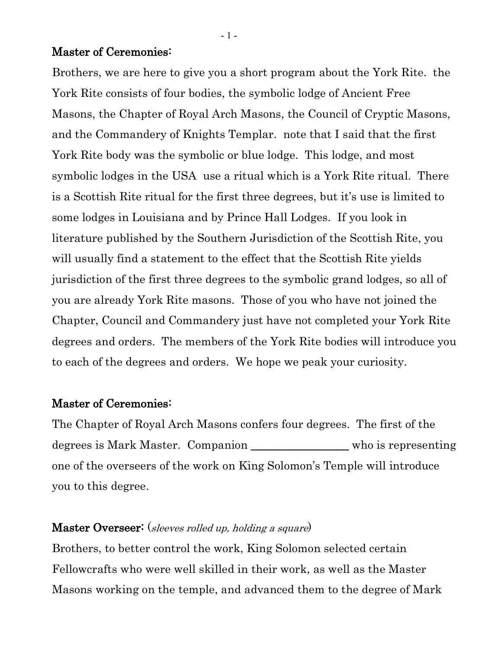#### Master of Ceremonies:

Brothers, we are here to give you a short program about the York Rite. the York Rite consists of four bodies, the symbolic lodge of Ancient Free Masons, the Chapter of Royal Arch Masons, the Council of Cryptic Masons, and the Commandery of Knights Templar. note that I said that the first York Rite body was the symbolic or blue lodge. This lodge, and most symbolic lodges in the USA use a ritual which is a York Rite ritual. There is a Scottish Rite ritual for the first three degrees, but it's use is limited to some lodges in Louisiana and by Prince Hall Lodges. If you look in literature published by the Southern Jurisdiction of the Scottish Rite, you will usually find a statement to the effect that the Scottish Rite yields jurisdiction of the first three degrees to the symbolic grand lodges, so all of you are already York Rite masons. Those of you who have not joined the Chapter, Council and Commandery just have not completed your York Rite degrees and orders. The members of the York Rite bodies will introduce you to each of the degrees and orders. We hope we peak your curiosity.

### Master of Ceremonies:

The Chapter of Royal Arch Masons confers four degrees. The first of the degrees is Mark Master. Companion \_\_\_\_\_\_\_\_\_\_\_\_\_\_\_\_\_ who is representing one of the overseers of the work on King Solomon's Temple will introduce you to this degree.

## Master Overseer: (sleeves rolled up, holding a square)

Brothers, to better control the work, King Solomon selected certain Fellowcrafts who were well skilled in their work, as well as the Master Masons working on the temple, and advanced them to the degree of Mark

- 1 -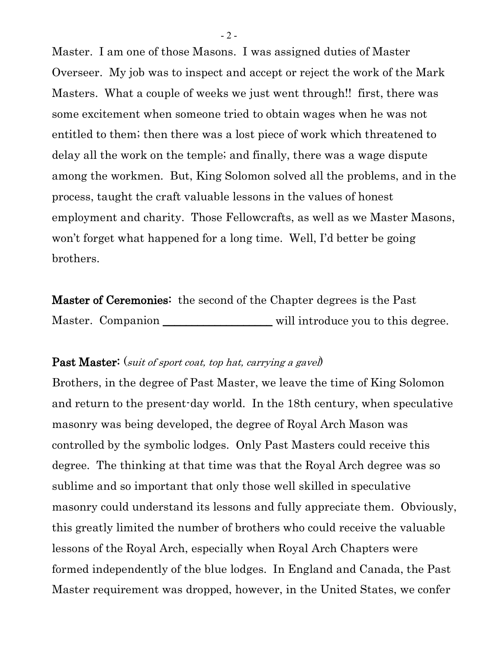Master. I am one of those Masons. I was assigned duties of Master Overseer. My job was to inspect and accept or reject the work of the Mark Masters. What a couple of weeks we just went through!! first, there was some excitement when someone tried to obtain wages when he was not entitled to them; then there was a lost piece of work which threatened to delay all the work on the temple; and finally, there was a wage dispute among the workmen. But, King Solomon solved all the problems, and in the process, taught the craft valuable lessons in the values of honest employment and charity. Those Fellowcrafts, as well as we Master Masons, won't forget what happened for a long time. Well, I'd better be going brothers.

Master of Ceremonies: the second of the Chapter degrees is the Past Master. Companion \_\_\_\_\_\_\_\_\_\_\_\_\_\_\_\_\_\_\_\_\_\_\_ will introduce you to this degree.

#### **Past Master:** (suit of sport coat, top hat, carrying a gavel)

Brothers, in the degree of Past Master, we leave the time of King Solomon and return to the present-day world. In the 18th century, when speculative masonry was being developed, the degree of Royal Arch Mason was controlled by the symbolic lodges. Only Past Masters could receive this degree. The thinking at that time was that the Royal Arch degree was so sublime and so important that only those well skilled in speculative masonry could understand its lessons and fully appreciate them. Obviously, this greatly limited the number of brothers who could receive the valuable lessons of the Royal Arch, especially when Royal Arch Chapters were formed independently of the blue lodges. In England and Canada, the Past Master requirement was dropped, however, in the United States, we confer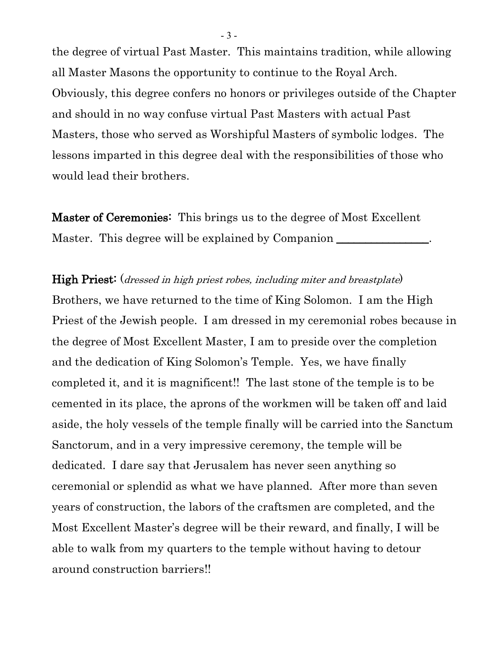the degree of virtual Past Master. This maintains tradition, while allowing all Master Masons the opportunity to continue to the Royal Arch. Obviously, this degree confers no honors or privileges outside of the Chapter and should in no way confuse virtual Past Masters with actual Past Masters, those who served as Worshipful Masters of symbolic lodges. The lessons imparted in this degree deal with the responsibilities of those who would lead their brothers.

Master of Ceremonies: This brings us to the degree of Most Excellent Master. This degree will be explained by Companion \_\_\_\_\_\_\_\_\_\_\_\_\_\_\_\_\_\_\_\_\_\_\_\_\_\_\_\_\_\_

High Priest: (*dressed in high priest robes, including miter and breastplate*) Brothers, we have returned to the time of King Solomon. I am the High Priest of the Jewish people. I am dressed in my ceremonial robes because in the degree of Most Excellent Master, I am to preside over the completion and the dedication of King Solomon's Temple. Yes, we have finally completed it, and it is magnificent!! The last stone of the temple is to be cemented in its place, the aprons of the workmen will be taken off and laid aside, the holy vessels of the temple finally will be carried into the Sanctum Sanctorum, and in a very impressive ceremony, the temple will be dedicated. I dare say that Jerusalem has never seen anything so ceremonial or splendid as what we have planned. After more than seven years of construction, the labors of the craftsmen are completed, and the Most Excellent Master's degree will be their reward, and finally, I will be able to walk from my quarters to the temple without having to detour around construction barriers!!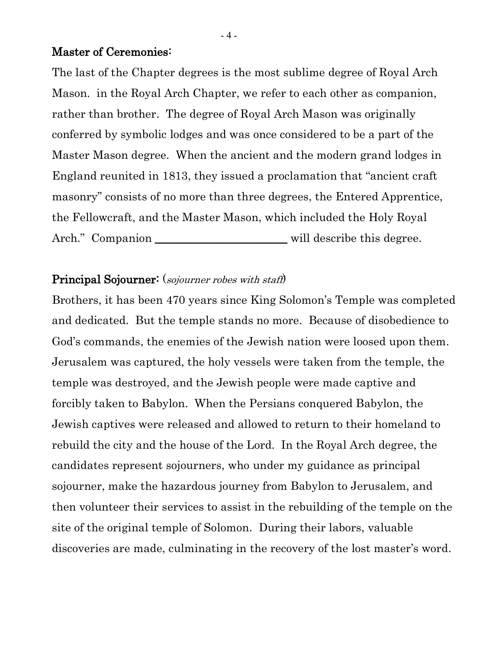## Master of Ceremonies:

The last of the Chapter degrees is the most sublime degree of Royal Arch Mason. in the Royal Arch Chapter, we refer to each other as companion, rather than brother. The degree of Royal Arch Mason was originally conferred by symbolic lodges and was once considered to be a part of the Master Mason degree. When the ancient and the modern grand lodges in England reunited in 1813, they issued a proclamation that "ancient craft masonry" consists of no more than three degrees, the Entered Apprentice, the Fellowcraft, and the Master Mason, which included the Holy Royal Arch." Companion \_\_\_\_\_\_\_\_\_\_\_\_\_\_\_\_\_\_\_\_\_\_\_\_\_\_\_ will describe this degree.

### Principal Sojourner: (sojourner robes with staff)

Brothers, it has been 470 years since King Solomon's Temple was completed and dedicated. But the temple stands no more. Because of disobedience to God's commands, the enemies of the Jewish nation were loosed upon them. Jerusalem was captured, the holy vessels were taken from the temple, the temple was destroyed, and the Jewish people were made captive and forcibly taken to Babylon. When the Persians conquered Babylon, the Jewish captives were released and allowed to return to their homeland to rebuild the city and the house of the Lord. In the Royal Arch degree, the candidates represent sojourners, who under my guidance as principal sojourner, make the hazardous journey from Babylon to Jerusalem, and then volunteer their services to assist in the rebuilding of the temple on the site of the original temple of Solomon. During their labors, valuable discoveries are made, culminating in the recovery of the lost master's word.

- 4 -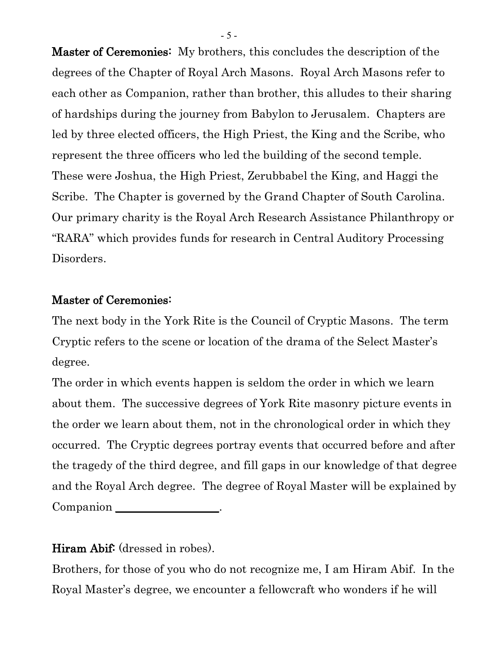Master of Ceremonies: My brothers, this concludes the description of the degrees of the Chapter of Royal Arch Masons. Royal Arch Masons refer to each other as Companion, rather than brother, this alludes to their sharing of hardships during the journey from Babylon to Jerusalem. Chapters are led by three elected officers, the High Priest, the King and the Scribe, who represent the three officers who led the building of the second temple. These were Joshua, the High Priest, Zerubbabel the King, and Haggi the Scribe. The Chapter is governed by the Grand Chapter of South Carolina. Our primary charity is the Royal Arch Research Assistance Philanthropy or "RARA" which provides funds for research in Central Auditory Processing Disorders.

# Master of Ceremonies:

The next body in the York Rite is the Council of Cryptic Masons. The term Cryptic refers to the scene or location of the drama of the Select Master's degree.

The order in which events happen is seldom the order in which we learn about them. The successive degrees of York Rite masonry picture events in the order we learn about them, not in the chronological order in which they occurred. The Cryptic degrees portray events that occurred before and after the tragedy of the third degree, and fill gaps in our knowledge of that degree and the Royal Arch degree. The degree of Royal Master will be explained by Companion \_\_\_\_\_\_\_\_\_\_\_\_\_\_\_\_\_\_.

# Hiram Abif: (dressed in robes).

Brothers, for those of you who do not recognize me, I am Hiram Abif. In the Royal Master's degree, we encounter a fellowcraft who wonders if he will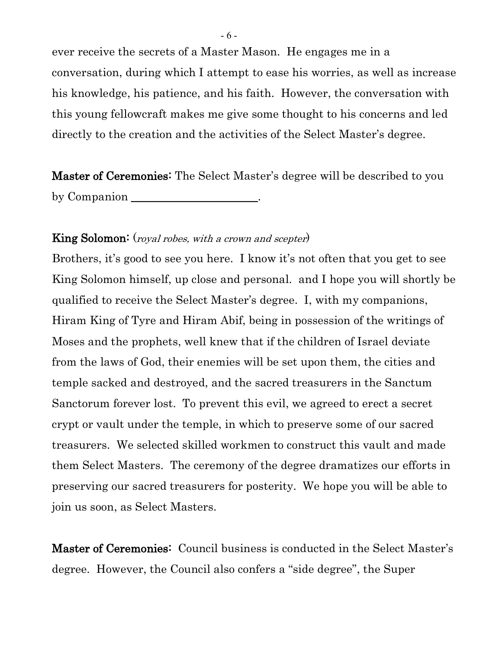ever receive the secrets of a Master Mason. He engages me in a conversation, during which I attempt to ease his worries, as well as increase his knowledge, his patience, and his faith. However, the conversation with this young fellowcraft makes me give some thought to his concerns and led directly to the creation and the activities of the Select Master's degree.

Master of Ceremonies: The Select Master's degree will be described to you by Companion \_\_\_\_\_\_\_\_\_\_\_\_\_\_\_\_\_\_\_\_\_\_.

## King Solomon: (royal robes, with a crown and scepter)

Brothers, it's good to see you here. I know it's not often that you get to see King Solomon himself, up close and personal. and I hope you will shortly be qualified to receive the Select Master's degree. I, with my companions, Hiram King of Tyre and Hiram Abif, being in possession of the writings of Moses and the prophets, well knew that if the children of Israel deviate from the laws of God, their enemies will be set upon them, the cities and temple sacked and destroyed, and the sacred treasurers in the Sanctum Sanctorum forever lost. To prevent this evil, we agreed to erect a secret crypt or vault under the temple, in which to preserve some of our sacred treasurers. We selected skilled workmen to construct this vault and made them Select Masters. The ceremony of the degree dramatizes our efforts in preserving our sacred treasurers for posterity. We hope you will be able to join us soon, as Select Masters.

Master of Ceremonies: Council business is conducted in the Select Master's degree. However, the Council also confers a "side degree", the Super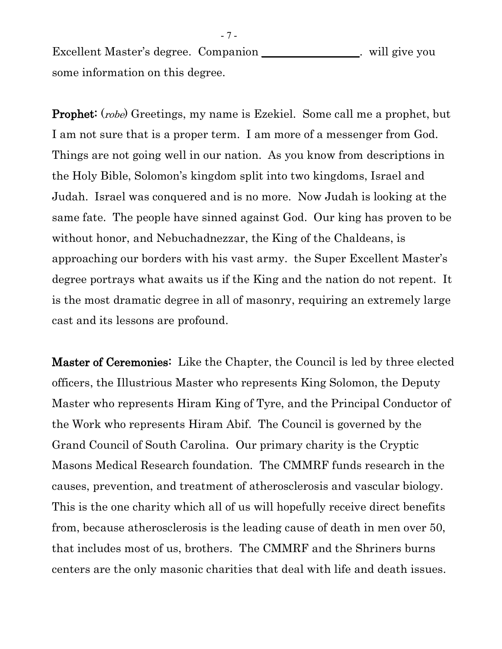Excellent Master's degree. Companion \_\_\_\_\_\_\_\_\_\_\_\_\_\_\_. will give you some information on this degree.

Prophet: (robe) Greetings, my name is Ezekiel. Some call me a prophet, but I am not sure that is a proper term. I am more of a messenger from God. Things are not going well in our nation. As you know from descriptions in the Holy Bible, Solomon's kingdom split into two kingdoms, Israel and Judah. Israel was conquered and is no more. Now Judah is looking at the same fate. The people have sinned against God. Our king has proven to be without honor, and Nebuchadnezzar, the King of the Chaldeans, is approaching our borders with his vast army. the Super Excellent Master's degree portrays what awaits us if the King and the nation do not repent. It is the most dramatic degree in all of masonry, requiring an extremely large cast and its lessons are profound.

Master of Ceremonies: Like the Chapter, the Council is led by three elected officers, the Illustrious Master who represents King Solomon, the Deputy Master who represents Hiram King of Tyre, and the Principal Conductor of the Work who represents Hiram Abif. The Council is governed by the Grand Council of South Carolina. Our primary charity is the Cryptic Masons Medical Research foundation. The CMMRF funds research in the causes, prevention, and treatment of atherosclerosis and vascular biology. This is the one charity which all of us will hopefully receive direct benefits from, because atherosclerosis is the leading cause of death in men over 50, that includes most of us, brothers. The CMMRF and the Shriners burns centers are the only masonic charities that deal with life and death issues.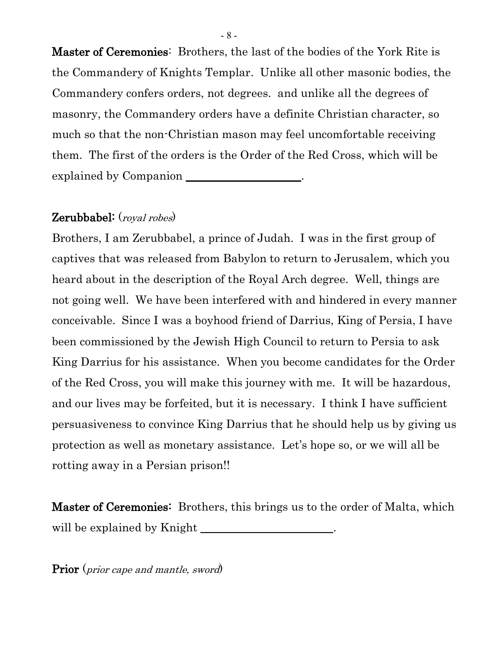Master of Ceremonies: Brothers, the last of the bodies of the York Rite is the Commandery of Knights Templar. Unlike all other masonic bodies, the Commandery confers orders, not degrees. and unlike all the degrees of masonry, the Commandery orders have a definite Christian character, so much so that the non-Christian mason may feel uncomfortable receiving them. The first of the orders is the Order of the Red Cross, which will be explained by Companion

# Zerubbabel: (royal robes)

Brothers, I am Zerubbabel, a prince of Judah. I was in the first group of captives that was released from Babylon to return to Jerusalem, which you heard about in the description of the Royal Arch degree. Well, things are not going well. We have been interfered with and hindered in every manner conceivable. Since I was a boyhood friend of Darrius, King of Persia, I have been commissioned by the Jewish High Council to return to Persia to ask King Darrius for his assistance. When you become candidates for the Order of the Red Cross, you will make this journey with me. It will be hazardous, and our lives may be forfeited, but it is necessary. I think I have sufficient persuasiveness to convince King Darrius that he should help us by giving us protection as well as monetary assistance. Let's hope so, or we will all be rotting away in a Persian prison!!

**Master of Ceremonies:** Brothers, this brings us to the order of Malta, which will be explained by Knight \_\_\_\_\_\_\_\_\_\_\_\_\_\_\_\_\_\_\_\_\_\_\_.

Prior (*prior cape and mantle, sword*)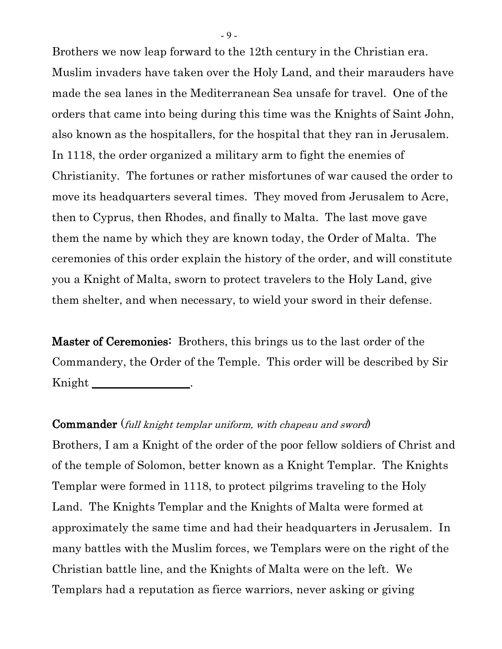Brothers we now leap forward to the 12th century in the Christian era. Muslim invaders have taken over the Holy Land, and their marauders have made the sea lanes in the Mediterranean Sea unsafe for travel. One of the orders that came into being during this time was the Knights of Saint John, also known as the hospitallers, for the hospital that they ran in Jerusalem. In 1118, the order organized a military arm to fight the enemies of Christianity. The fortunes or rather misfortunes of war caused the order to move its headquarters several times. They moved from Jerusalem to Acre, then to Cyprus, then Rhodes, and finally to Malta. The last move gave them the name by which they are known today, the Order of Malta. The ceremonies of this order explain the history of the order, and will constitute you a Knight of Malta, sworn to protect travelers to the Holy Land, give them shelter, and when necessary, to wield your sword in their defense.

Master of Ceremonies: Brothers, this brings us to the last order of the Commandery, the Order of the Temple. This order will be described by Sir Knight

Commander (full knight templar uniform, with chapeau and sword) Brothers, I am a Knight of the order of the poor fellow soldiers of Christ and of the temple of Solomon, better known as a Knight Templar. The Knights Templar were formed in 1118, to protect pilgrims traveling to the Holy Land. The Knights Templar and the Knights of Malta were formed at approximately the same time and had their headquarters in Jerusalem. In many battles with the Muslim forces, we Templars were on the right of the Christian battle line, and the Knights of Malta were on the left. We Templars had a reputation as fierce warriors, never asking or giving

- 9 -